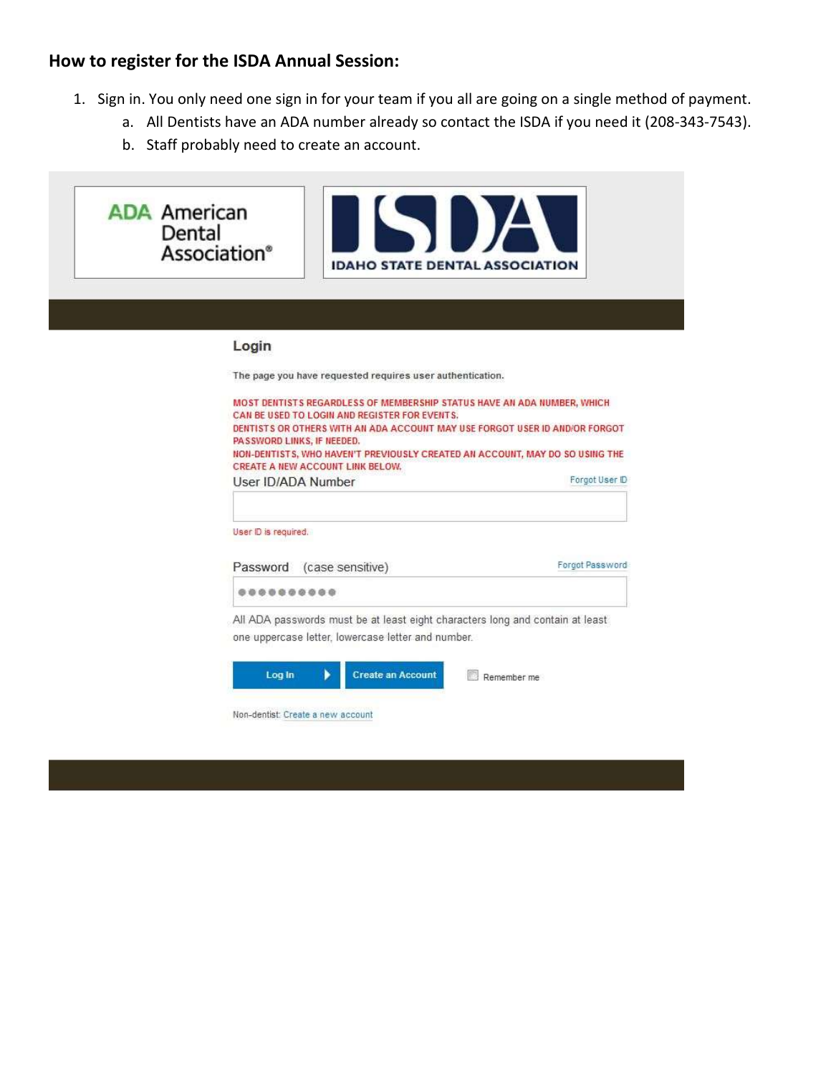## **How to register for the ISDA Annual Session:**

- 1. Sign in. You only need one sign in for your team if you all are going on a single method of payment.
	- a. All Dentists have an ADA number already so contact the ISDA if you need it (208-343-7543).
	- b. Staff probably need to create an account.

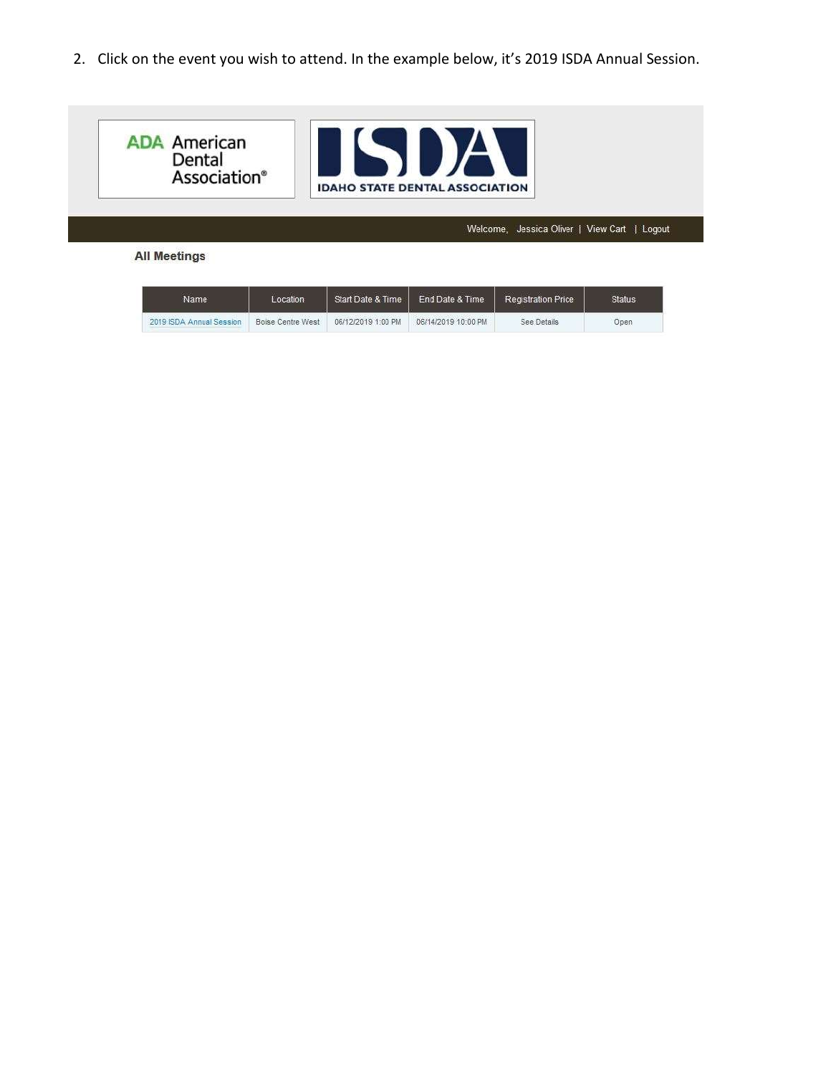2. Click on the event you wish to attend. In the example below, it's 2019 ISDA Annual Session.



| Name                     | Location          | Start Date & Time  | End Date & Time     | Registration Price | <b>Status</b> |
|--------------------------|-------------------|--------------------|---------------------|--------------------|---------------|
| 2019 ISDA Annual Session | Boise Centre West | 06/12/2019 1:00 PM | 06/14/2019 10:00 PM | See Details        | Open          |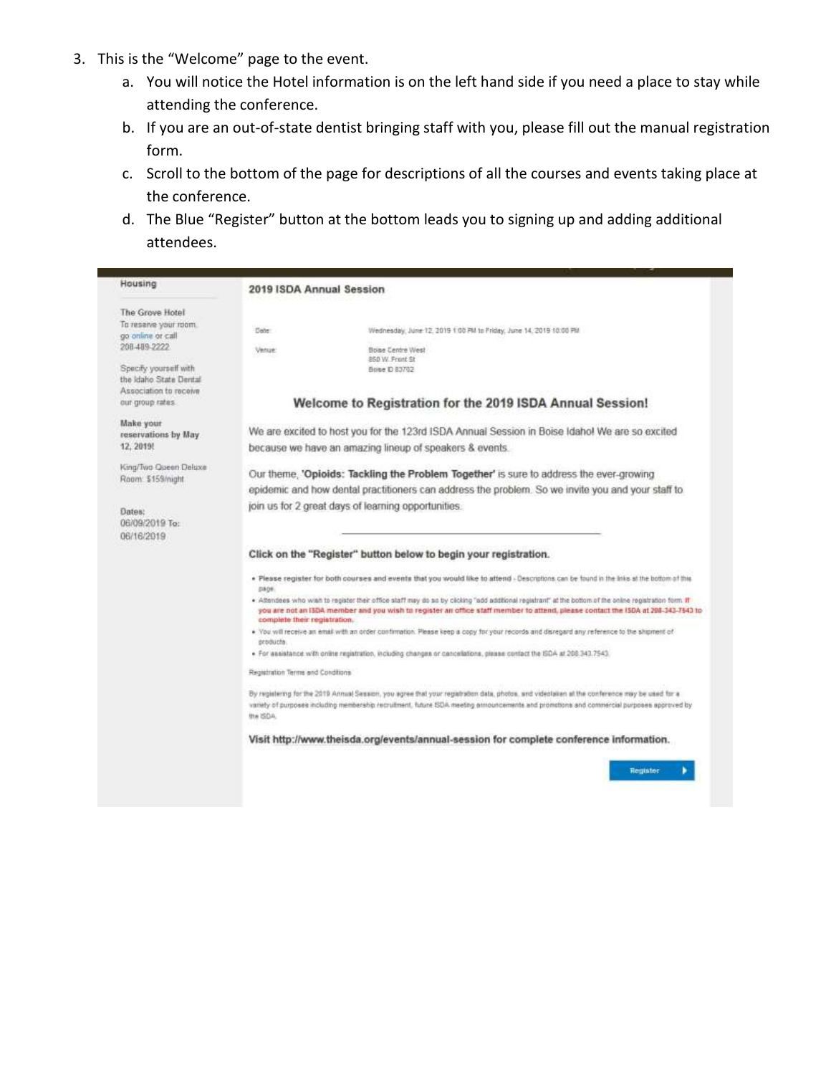- 3. This is the "Welcome" page to the event.
	- a. You will notice the Hotel information is on the left hand side if you need a place to stay while attending the conference.
	- b. If you are an out-of-state dentist bringing staff with you, please fill out the manual registration form.
	- c. Scroll to the bottom of the page for descriptions of all the courses and events taking place at the conference.
	- d. The Blue "Register" button at the bottom leads you to signing up and adding additional attendees.

| Housing                                         | 2019 ISDA Annual Session          |                                                                                                                                                                                                                                                                                              |
|-------------------------------------------------|-----------------------------------|----------------------------------------------------------------------------------------------------------------------------------------------------------------------------------------------------------------------------------------------------------------------------------------------|
| The Grove Hotel                                 |                                   |                                                                                                                                                                                                                                                                                              |
| To reserve your room.<br>go online or call      | Dete                              | Wednesday, June 12, 2019 1:00 PM to Friday, June 14, 2019 10:00 PM                                                                                                                                                                                                                           |
| 208 489 2222                                    | Venue:                            | Boise Centre West<br>850 W. Front St                                                                                                                                                                                                                                                         |
| Specify yourself with<br>the Idaho State Dental |                                   | Bone D 83702                                                                                                                                                                                                                                                                                 |
| Association to receive                          |                                   |                                                                                                                                                                                                                                                                                              |
| cur group rates.                                |                                   | Welcome to Registration for the 2019 ISDA Annual Session!                                                                                                                                                                                                                                    |
| Make your<br>reservations by May                |                                   | We are excited to host you for the 123rd ISDA Annual Session in Boise Idaho! We are so excited                                                                                                                                                                                               |
| 12, 2019!                                       |                                   | because we have an amazing lineup of speakers & events.                                                                                                                                                                                                                                      |
| King/Two Queen Deluxe<br>Room: \$159/might      |                                   | Our theme, 'Opioids: Tackling the Problem Together' is sure to address the ever-growing                                                                                                                                                                                                      |
|                                                 |                                   | epidemic and how dental practitioners can address the problem. So we invite you and your staff to                                                                                                                                                                                            |
| Dates:<br>06/09/2019 To:<br>06/16/2019          |                                   | join us for 2 great days of learning opportunities.                                                                                                                                                                                                                                          |
|                                                 |                                   | Click on the "Register" button below to begin your registration.                                                                                                                                                                                                                             |
|                                                 | <b>DA09</b>                       | . Please register for both courses and events that you would like to attend - Descriptions can be found in the links at the bottom of this                                                                                                                                                   |
|                                                 | complete their registration.      | . Attendees who wish to register their office staff may do so by clicking "add additional registrant" at the bottom of the coline registration form. If<br>you are not an ISDA member and you wish to register an office staff member to attend, please contact the ISDA at 208-343-7543 to  |
|                                                 | products.                         | . You will receive an email with an order continmation. Please keep a copy for your records and disregard any reference to the shipment of                                                                                                                                                   |
|                                                 |                                   | · For assistance with online registration, including changes or cancellations, please contact the ISDA at 208:343.7543.                                                                                                                                                                      |
|                                                 | Registration Terms and Conditions |                                                                                                                                                                                                                                                                                              |
|                                                 | the ISDA.                         | By registering for the 2019 Annual Session, you agree that your registration data, photos, and videotation at the conference may be used for a<br>variely of purposes including membership /ecruitment, future ISDA meeting armouncements and promotions and commercial purposes approved by |
|                                                 |                                   | Visit http://www.theisda.org/events/annual-session for complete conference information.                                                                                                                                                                                                      |
|                                                 |                                   | Register                                                                                                                                                                                                                                                                                     |
|                                                 |                                   |                                                                                                                                                                                                                                                                                              |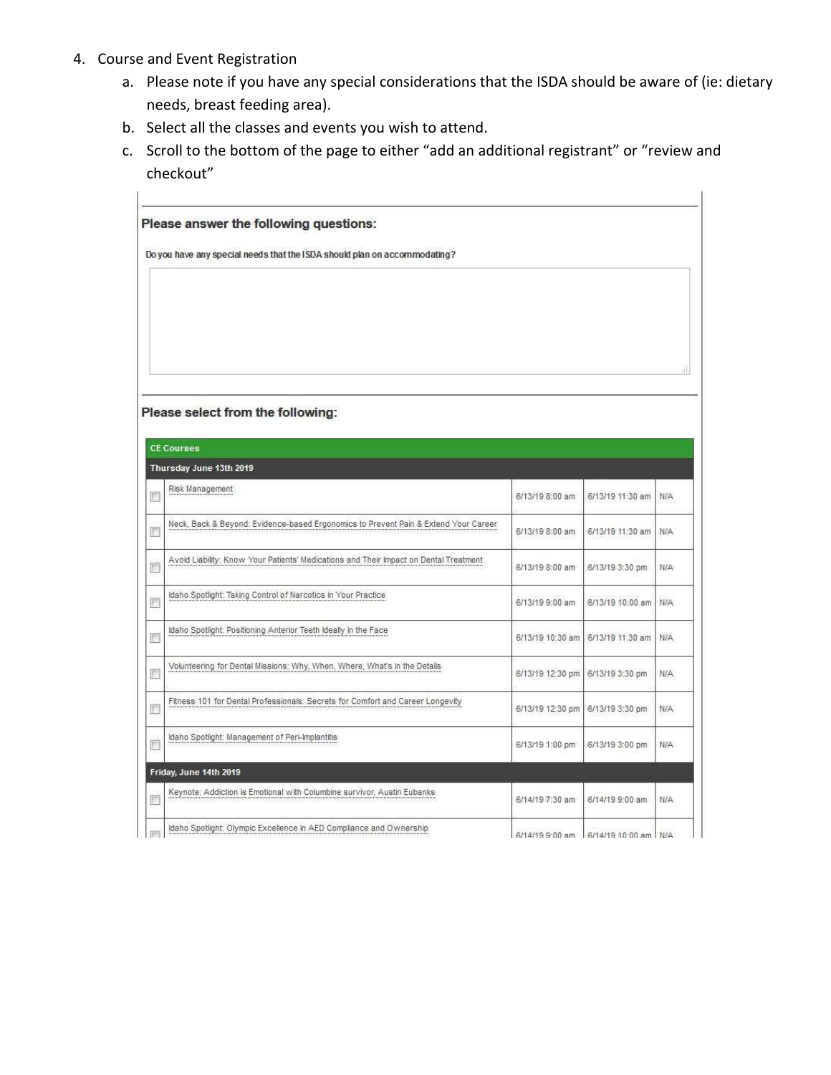- 4. Course and Event Registration
	- a. Please note if you have any special considerations that the ISDA should be aware of (ie: dietary needs, breast feeding area).
	- b. Select all the classes and events you wish to attend.
	- c. Scroll to the bottom of the page to either "add an additional registrant" or "review and checkout"

|    | Please answer the following questions:                                                |                                  |                                      |            |
|----|---------------------------------------------------------------------------------------|----------------------------------|--------------------------------------|------------|
|    | Do you have any special needs that the ISDA should plan on accommodating?             |                                  |                                      |            |
|    |                                                                                       |                                  |                                      |            |
|    |                                                                                       |                                  |                                      |            |
|    |                                                                                       |                                  |                                      |            |
|    |                                                                                       |                                  |                                      |            |
|    |                                                                                       |                                  |                                      |            |
|    | Please select from the following:                                                     |                                  |                                      |            |
|    |                                                                                       |                                  |                                      |            |
|    | <b>CE Courses</b>                                                                     |                                  |                                      |            |
|    | Thursday June 13th 2019<br>Risk Management                                            |                                  |                                      |            |
| F) |                                                                                       | 6/13/19 8:00 am                  | 6/13/19 11:30 am                     | N/A        |
| F. | Neck, Back & Beyond: Evidence-based Ergonomics to Prevent Pain & Extend Your Career   | 6/13/19 8:00 am                  | 6/13/19 11:30 am                     | <b>N/A</b> |
| C. | Avoid Liability: Know Your Patients' Medications and Their Impact on Dental Treatment | 6/13/19 8:00 am                  | 6/13/19 3:30 pm                      | N/A        |
| 厕  | Idaho Spotlight: Taking Control of Narcotics in Your Practice                         | 6/13/19 9:00 am                  | 6/13/19 10:00 am                     | N/A        |
| 屫  | Idaho Spotlight: Positioning Anterior Teeth Ideally in the Face                       |                                  | 6/13/19 10:30 am   6/13/19 11:30 am  | <b>N/A</b> |
| 鳳  | Volunteering for Dental Missions: Why, When, Where, What's in the Details             | 6/13/19 12:30 pm 6/13/19 3:30 pm |                                      | N/A        |
| n  | Fitness 101 for Dental Professionals: Secrets for Comfort and Career Longevity        | 6/13/19 12:30 pm                 | 6/13/19 3:30 pm                      | <b>N/A</b> |
| C. | Idaho Spotlight: Management of Peri-Implantitis                                       | 6/13/19 1:00 pm                  | 6/13/19 3:00 pm                      | N/A        |
|    | Friday, June 14th 2019                                                                |                                  |                                      |            |
| C. | Keynote: Addiction is Emotional with Columbine survivor, Austin Eubanks               | 6/14/19 7:30 am                  | 6/14/19 9:00 am                      | N/A        |
|    | Idaho Spotlight: Olympic Excellence in AED Compliance and Ownership                   |                                  | 6/14/19 9:00 am 6/14/19 10:00 am N/A |            |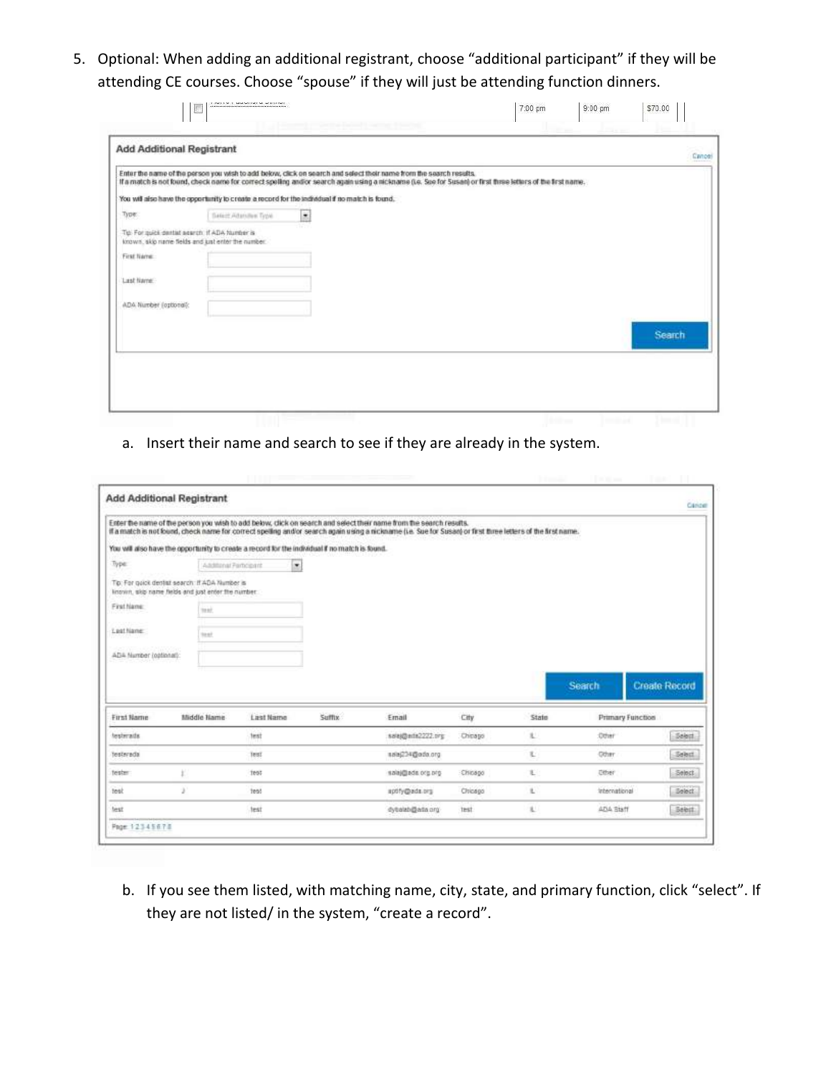5. Optional: When adding an additional registrant, choose "additional participant" if they will be attending CE courses. Choose "spouse" if they will just be attending function dinners.

|                                                | <b>Add Additional Registrant</b>                   |                                                                                                                                                                                                                                                                                     |  | Cancel        |
|------------------------------------------------|----------------------------------------------------|-------------------------------------------------------------------------------------------------------------------------------------------------------------------------------------------------------------------------------------------------------------------------------------|--|---------------|
|                                                |                                                    | Enter the name of the person you wish to add below, click on search and select their name from the search results.<br>If a match is not found, check name for correct spelling and/or search again using a nickname (i.e. See for Susan) or first firste letters of the first name. |  |               |
|                                                |                                                    | You will also have the opportunity to create a record for the individual if no match is found.                                                                                                                                                                                      |  |               |
| Type:                                          | Salest Adamies Trive                               | $\bullet$                                                                                                                                                                                                                                                                           |  |               |
| To: For quick dentist search: If ADA Number is | known, skip name fields and just enter the number. | m                                                                                                                                                                                                                                                                                   |  |               |
| First Name                                     |                                                    |                                                                                                                                                                                                                                                                                     |  |               |
| Last Name:                                     |                                                    |                                                                                                                                                                                                                                                                                     |  |               |
| ADA Number (optional):                         |                                                    |                                                                                                                                                                                                                                                                                     |  |               |
|                                                |                                                    |                                                                                                                                                                                                                                                                                     |  |               |
|                                                |                                                    |                                                                                                                                                                                                                                                                                     |  | <b>Search</b> |

a. Insert their name and search to see if they are already in the system.

| <b>Add Additional Registrant</b>                                                                      |                |           |         |                                                                                                                                                                                                                                                                                    |         |       |                  |                                                                |
|-------------------------------------------------------------------------------------------------------|----------------|-----------|---------|------------------------------------------------------------------------------------------------------------------------------------------------------------------------------------------------------------------------------------------------------------------------------------|---------|-------|------------------|----------------------------------------------------------------|
|                                                                                                       |                |           |         | Enter the name of the person you wish to add below, click on search and select their name from the search results.<br>if a match is not lound, check name for correct spelling and/or search again using a nickname (i.e. Sue for Susan) or first three letters of the first name. |         |       |                  |                                                                |
| You will also have the opportunity to create a record for the individual if no match is found.        |                |           |         |                                                                                                                                                                                                                                                                                    |         |       |                  |                                                                |
| Type:                                                                                                 | Andrew Percent | ۰         |         |                                                                                                                                                                                                                                                                                    |         |       |                  |                                                                |
| Tip: For quick destist search: If ADA Number is<br>known, skip name fields and just enter the number. |                |           |         |                                                                                                                                                                                                                                                                                    |         |       |                  |                                                                |
| First Name:                                                                                           | test.          |           |         |                                                                                                                                                                                                                                                                                    |         |       |                  |                                                                |
|                                                                                                       |                |           |         |                                                                                                                                                                                                                                                                                    |         |       |                  |                                                                |
|                                                                                                       | test           |           |         |                                                                                                                                                                                                                                                                                    |         |       |                  |                                                                |
| Legt Name:<br>ADA Number (optional):                                                                  |                |           |         |                                                                                                                                                                                                                                                                                    |         |       |                  |                                                                |
|                                                                                                       |                |           |         |                                                                                                                                                                                                                                                                                    |         |       | Search           |                                                                |
|                                                                                                       | Middle Name    | Last Name | Sufflix | Email                                                                                                                                                                                                                                                                              | City    | State | Primary Function |                                                                |
|                                                                                                       |                | test      |         | sala)@adx2222.prg                                                                                                                                                                                                                                                                  | Chicago | 北     | :Dther           |                                                                |
|                                                                                                       |                | Test      |         | sala@34@ada.org                                                                                                                                                                                                                                                                    |         | τ     | Other            |                                                                |
|                                                                                                       |                | test      |         | salaj@ada.org.org                                                                                                                                                                                                                                                                  | Chicago | 王     | <b>Other</b>     |                                                                |
| First Hame<br>testeraits<br><b>Testerada</b><br>tester<br>test                                        | 3              | test      |         | aptity@ada.org                                                                                                                                                                                                                                                                     | Chicago | 且     | International    | <b>Create Record</b><br>Select<br>Select.<br>Select<br>Select: |

b. If you see them listed, with matching name, city, state, and primary function, click "select". If they are not listed/ in the system, "create a record".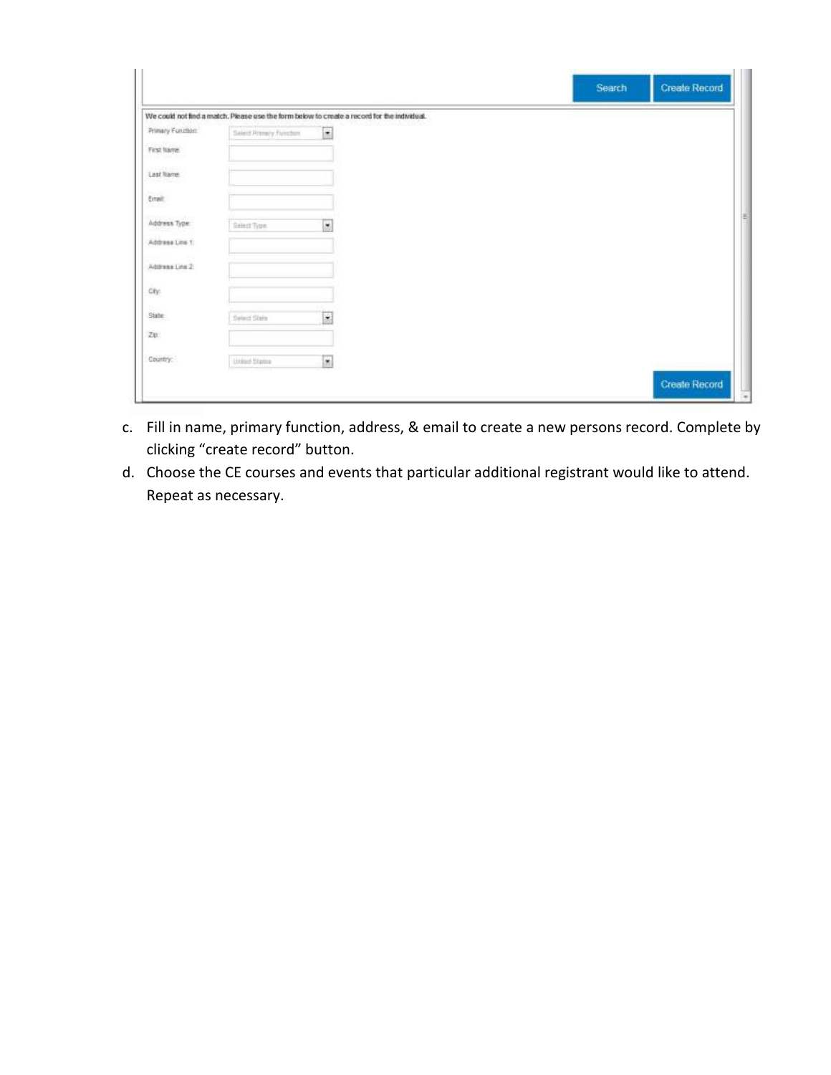|                                     |                         |                                                                                             | Search | <b>Create Record</b> |
|-------------------------------------|-------------------------|---------------------------------------------------------------------------------------------|--------|----------------------|
|                                     |                         | We could not find a match. Please use the form below to create a record for the individual. |        |                      |
| Primary Function                    | Salest Primary Function | $\cdot$                                                                                     |        |                      |
| an Sebara<br>First Name<br>na Tenga |                         |                                                                                             |        |                      |
| Last Name                           |                         |                                                                                             |        |                      |
| $14 - 14$<br>Errait:                |                         |                                                                                             |        |                      |
| Address Type:                       | Gener Type              | $\overline{\phantom{a}}$                                                                    |        |                      |
| Address Line 1                      |                         |                                                                                             |        |                      |
| Address Line 2:                     |                         |                                                                                             |        |                      |
| City:                               |                         |                                                                                             |        |                      |
| n.<br>State:                        | Seizer Stein            | ×                                                                                           |        |                      |
| ZII:                                |                         |                                                                                             |        |                      |
| Country                             | Linked States           | $\overline{\mathbf{r}}$                                                                     |        | de au Corre          |
|                                     |                         |                                                                                             |        | <b>Create Record</b> |

- c. Fill in name, primary function, address, & email to create a new persons record. Complete by clicking "create record" button.
- d. Choose the CE courses and events that particular additional registrant would like to attend. Repeat as necessary.